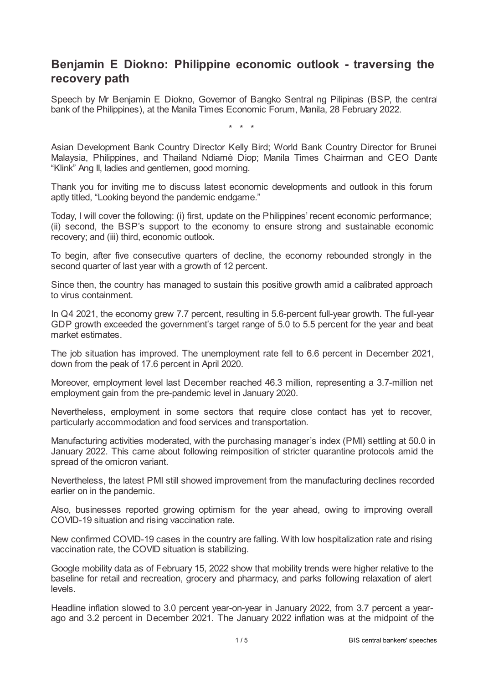## **Benjamin E Diokno: Philippine economic outlook - traversing the recovery path**

Speech by Mr Benjamin E Diokno, Governor of Bangko Sentral ng Pilipinas (BSP, the central bank of the Philippines), at the Manila Times Economic Forum, Manila, 28 February 2022.

\* \* \*

Asian Development Bank Country Director Kelly Bird; World Bank Country Director for Brunei, Malaysia, Philippines, and Thailand Ndiamè Diop; Manila Times Chairman and CEO Dante "Klink" Ang II, ladies and gentlemen, good morning.

Thank you for inviting me to discuss latest economic developments and outlook in this forum aptly titled, "Looking beyond the pandemic endgame."

Today, I will cover the following: (i) first, update on the Philippines' recent economic performance; (ii) second, the BSP's support to the economy to ensure strong and sustainable economic recovery; and (iii) third, economic outlook.

To begin, after five consecutive quarters of decline, the economy rebounded strongly in the second quarter of last year with a growth of 12 percent.

Since then, the country has managed to sustain this positive growth amid a calibrated approach to virus containment.

In Q4 2021, the economy grew 7.7 percent, resulting in 5.6-percent full-year growth. The full-year GDP growth exceeded the government's target range of 5.0 to 5.5 percent for the year and beat market estimates.

The job situation has improved. The unemployment rate fell to 6.6 percent in December 2021, down from the peak of 17.6 percent in April 2020.

Moreover, employment level last December reached 46.3 million, representing a 3.7-million net employment gain from the pre-pandemic level in January 2020.

Nevertheless, employment in some sectors that require close contact has yet to recover, particularly accommodation and food services and transportation.

Manufacturing activities moderated, with the purchasing manager's index (PMI) settling at 50.0 in January 2022. This came about following reimposition of stricter quarantine protocols amid the spread of the omicron variant.

Nevertheless, the latest PMI still showed improvement from the manufacturing declines recorded earlier on in the pandemic.

Also, businesses reported growing optimism for the year ahead, owing to improving overall COVID-19 situation and rising vaccination rate.

New confirmed COVID-19 cases in the country are falling. With low hospitalization rate and rising vaccination rate, the COVID situation is stabilizing.

Google mobility data as of February 15, 2022 show that mobility trends were higher relative to the baseline for retail and recreation, grocery and pharmacy, and parks following relaxation of alert levels.

Headline inflation slowed to 3.0 percent year-on-year in January 2022, from 3.7 percent a yearago and 3.2 percent in December 2021. The January 2022 inflation was at the midpoint of the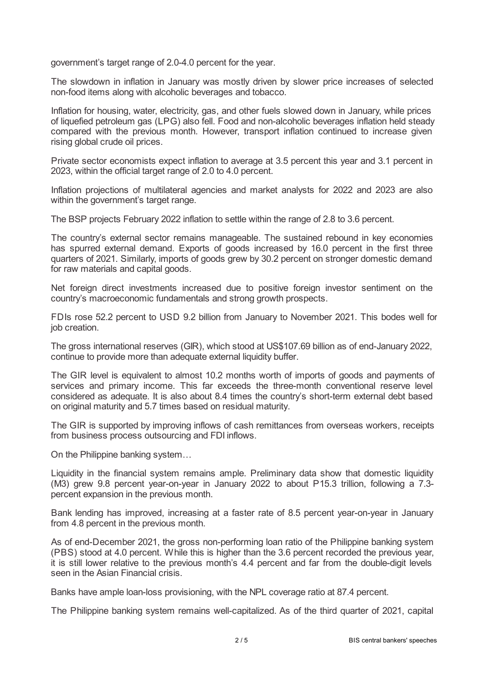government's target range of 2.0-4.0 percent for the year.

The slowdown in inflation in January was mostly driven by slower price increases of selected non-food items along with alcoholic beverages and tobacco.

Inflation for housing, water, electricity, gas, and other fuels slowed down in January, while prices of liquefied petroleum gas (LPG) also fell. Food and non-alcoholic beverages inflation held steady compared with the previous month. However, transport inflation continued to increase given rising global crude oil prices.

Private sector economists expect inflation to average at 3.5 percent this year and 3.1 percent in 2023, within the official target range of 2.0 to 4.0 percent.

Inflation projections of multilateral agencies and market analysts for 2022 and 2023 are also within the government's target range.

The BSP projects February 2022 inflation to settle within the range of 2.8 to 3.6 percent.

The country's external sector remains manageable. The sustained rebound in key economies has spurred external demand. Exports of goods increased by 16.0 percent in the first three quarters of 2021. Similarly, imports of goods grew by 30.2 percent on stronger domestic demand for raw materials and capital goods.

Net foreign direct investments increased due to positive foreign investor sentiment on the country's macroeconomic fundamentals and strong growth prospects.

FDIs rose 52.2 percent to USD 9.2 billion from January to November 2021. This bodes well for job creation.

The gross international reserves (GIR), which stood at US\$107.69 billion as of end-January 2022, continue to provide more than adequate external liquidity buffer.

The GIR level is equivalent to almost 10.2 months worth of imports of goods and payments of services and primary income. This far exceeds the three-month conventional reserve level considered as adequate. It is also about 8.4 times the country's short-term external debt based on original maturity and 5.7 times based on residual maturity.

The GIR is supported by improving inflows of cash remittances from overseas workers, receipts from business process outsourcing and FDI inflows.

On the Philippine banking system…

Liquidity in the financial system remains ample. Preliminary data show that domestic liquidity (M3) grew 9.8 percent year-on-year in January 2022 to about P15.3 trillion, following a 7.3 percent expansion in the previous month.

Bank lending has improved, increasing at a faster rate of 8.5 percent year-on-year in January from 4.8 percent in the previous month.

As of end-December 2021, the gross non-performing loan ratio of the Philippine banking system (PBS) stood at 4.0 percent. While this is higher than the 3.6 percent recorded the previous year, it is still lower relative to the previous month's 4.4 percent and far from the double-digit levels seen in the Asian Financial crisis.

Banks have ample loan-loss provisioning, with the NPL coverage ratio at 87.4 percent.

The Philippine banking system remains well-capitalized. As of the third quarter of 2021, capital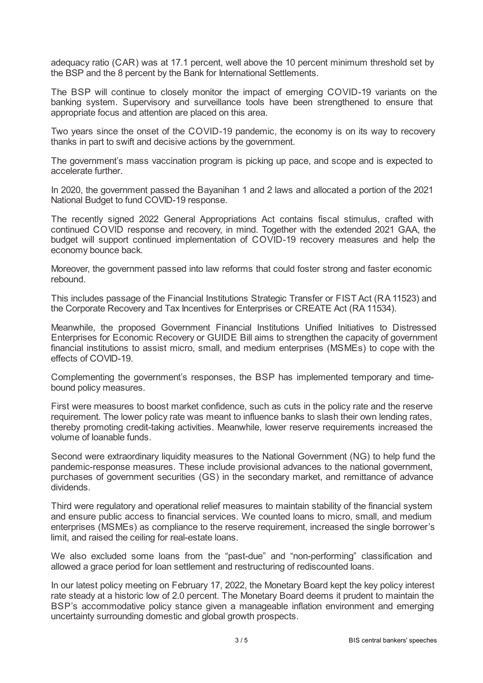adequacy ratio (CAR) was at 17.1 percent, well above the 10 percent minimum threshold set by the BSP and the 8 percent by the Bank for International Settlements.

The BSP will continue to closely monitor the impact of emerging COVID-19 variants on the banking system. Supervisory and surveillance tools have been strengthened to ensure that appropriate focus and attention are placed on this area.

Two years since the onset of the COVID-19 pandemic, the economy is on its way to recovery thanks in part to swift and decisive actions by the government.

The government's mass vaccination program is picking up pace, and scope and is expected to accelerate further.

In 2020, the government passed the Bayanihan 1 and 2 laws and allocated a portion of the 2021 National Budget to fund COVID-19 response.

The recently signed 2022 General Appropriations Act contains fiscal stimulus, crafted with continued COVID response and recovery, in mind. Together with the extended 2021 GAA, the budget will support continued implementation of COVID-19 recovery measures and help the economy bounce back.

Moreover, the government passed into law reforms that could foster strong and faster economic rebound.

This includes passage of the Financial Institutions Strategic Transfer or FIST Act (RA 11523) and the Corporate Recovery and Tax Incentives for Enterprises or CREATE Act (RA 11534).

Meanwhile, the proposed Government Financial Institutions Unified Initiatives to Distressed Enterprises for Economic Recovery or GUIDE Bill aims to strengthen the capacity of government financial institutions to assist micro, small, and medium enterprises (MSMEs) to cope with the effects of COVID-19.

Complementing the government's responses, the BSP has implemented temporary and timebound policy measures.

First were measures to boost market confidence, such as cuts in the policy rate and the reserve requirement. The lower policy rate was meant to influence banks to slash their own lending rates, thereby promoting credit-taking activities. Meanwhile, lower reserve requirements increased the volume of loanable funds.

Second were extraordinary liquidity measures to the National Government (NG) to help fund the pandemic-response measures. These include provisional advances to the national government, purchases of government securities (GS) in the secondary market, and remittance of advance dividends.

Third were regulatory and operational relief measures to maintain stability of the financial system and ensure public access to financial services. We counted loans to micro, small, and medium enterprises (MSMEs) as compliance to the reserve requirement, increased the single borrower's limit, and raised the ceiling for real-estate loans.

We also excluded some loans from the "past-due" and "non-performing" classification and allowed a grace period for loan settlement and restructuring of rediscounted loans.

In our latest policy meeting on February 17, 2022, the Monetary Board kept the key policy interest rate steady at a historic low of 2.0 percent. The Monetary Board deems it prudent to maintain the BSP's accommodative policy stance given a manageable inflation environment and emerging uncertainty surrounding domestic and global growth prospects.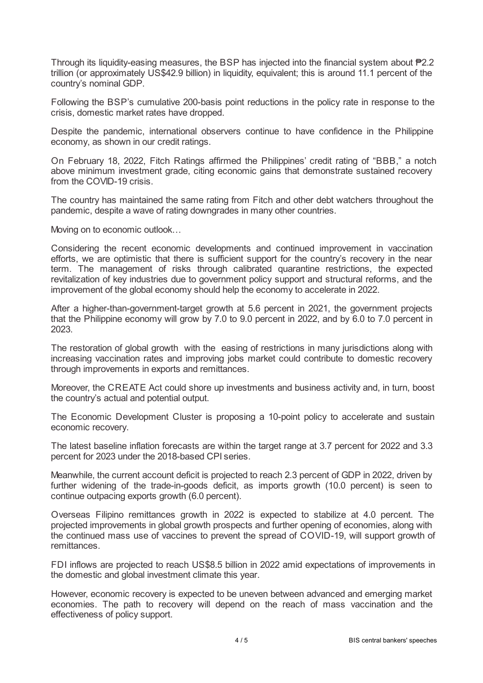Through its liquidity-easing measures, the BSP has injected into the financial system about ₱2.2 trillion (or approximately US\$42.9 billion) in liquidity, equivalent; this is around 11.1 percent of the country's nominal GDP.

Following the BSP's cumulative 200-basis point reductions in the policy rate in response to the crisis, domestic market rates have dropped.

Despite the pandemic, international observers continue to have confidence in the Philippine economy, as shown in our credit ratings.

On February 18, 2022, Fitch Ratings affirmed the Philippines' credit rating of "BBB," a notch above minimum investment grade, citing economic gains that demonstrate sustained recovery from the COVID-19 crisis.

The country has maintained the same rating from Fitch and other debt watchers throughout the pandemic, despite a wave of rating downgrades in many other countries.

Moving on to economic outlook…

Considering the recent economic developments and continued improvement in vaccination efforts, we are optimistic that there is sufficient support for the country's recovery in the near term. The management of risks through calibrated quarantine restrictions, the expected revitalization of key industries due to government policy support and structural reforms, and the improvement of the global economy should help the economy to accelerate in 2022.

After a higher-than-government-target growth at 5.6 percent in 2021, the government projects that the Philippine economy will grow by 7.0 to 9.0 percent in 2022, and by 6.0 to 7.0 percent in 2023.

The restoration of global growth with the easing of restrictions in many jurisdictions along with increasing vaccination rates and improving jobs market could contribute to domestic recovery through improvements in exports and remittances.

Moreover, the CREATE Act could shore up investments and business activity and, in turn, boost the country's actual and potential output.

The Economic Development Cluster is proposing a 10-point policy to accelerate and sustain economic recovery.

The latest baseline inflation forecasts are within the target range at 3.7 percent for 2022 and 3.3 percent for 2023 under the 2018-based CPI series.

Meanwhile, the current account deficit is projected to reach 2.3 percent of GDP in 2022, driven by further widening of the trade-in-goods deficit, as imports growth (10.0 percent) is seen to continue outpacing exports growth (6.0 percent).

Overseas Filipino remittances growth in 2022 is expected to stabilize at 4.0 percent. The projected improvements in global growth prospects and further opening of economies, along with the continued mass use of vaccines to prevent the spread of COVID-19, will support growth of remittances.

FDI inflows are projected to reach US\$8.5 billion in 2022 amid expectations of improvements in the domestic and global investment climate this year.

However, economic recovery is expected to be uneven between advanced and emerging market economies. The path to recovery will depend on the reach of mass vaccination and the effectiveness of policy support.